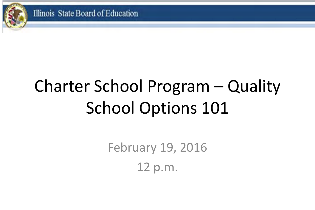

# Charter School Program – Quality School Options 101

February 19, 2016 12 p.m.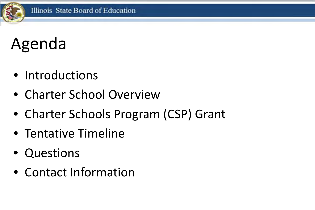# Agenda

- Introductions
- Charter School Overview
- Charter Schools Program (CSP) Grant
- Tentative Timeline
- Questions
- Contact Information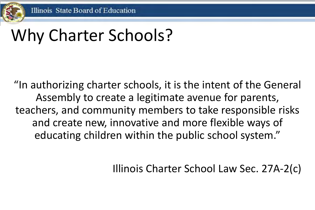

# Why Charter Schools?

"In authorizing charter schools, it is the intent of the General Assembly to create a legitimate avenue for parents, teachers, and community members to take responsible risks and create new, innovative and more flexible ways of educating children within the public school system."

Illinois Charter School Law Sec. 27A-2(c)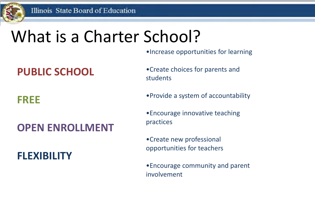

## What is a Charter School?

•Increase opportunities for learning

### **PUBLIC SCHOOL**

### **FREE**

### **OPEN ENROLLMENT**

#### **FLEXIBILITY**

- •Create choices for parents and students
- •Provide a system of accountability
- •Encourage innovative teaching practices
- •Create new professional opportunities for teachers
- •Encourage community and parent involvement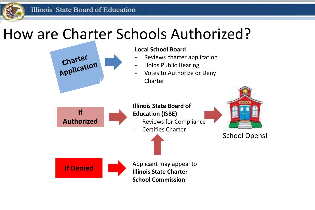Illinois State Board of Education

### How are Charter Schools Authorized?

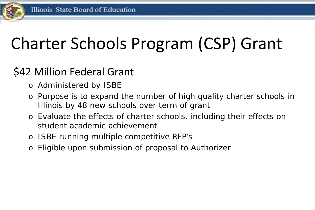

# Charter Schools Program (CSP) Grant

### \$42 Million Federal Grant

- o Administered by ISBE
- o Purpose is to expand the number of high quality charter schools in Illinois by 48 new schools over term of grant
- o Evaluate the effects of charter schools, including their effects on student academic achievement
- o ISBE running multiple competitive RFP's
- o Eligible upon submission of proposal to Authorizer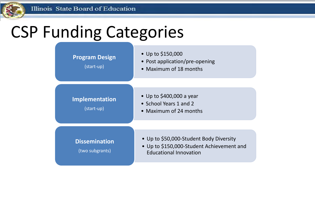# CSP Funding Categories

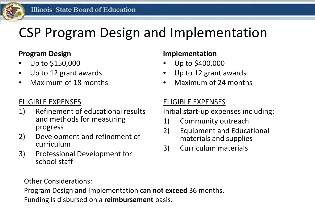## CSP Program Design and Implementation

#### **Program Design**

- Up to \$150,000
- Up to 12 grant awards
- Maximum of 18 months

#### ELIGIBLE EXPENSES

- 1) Refinement of educational results and methods for measuring progress
- 2) Development and refinement of curriculum
- 3) Professional Development for school staff

#### **Implementation**

- Up to \$400,000
- Up to 12 grant awards
- Maximum of 24 months

#### ELIGIBLE EXPENSES

Initial start-up expenses including:

- 1) Community outreach
- 2) Equipment and Educational materials and supplies
- 3) Curriculum materials

Other Considerations:

Program Design and Implementation **can not exceed** 36 months. Funding is disbursed on a **reimbursement** basis.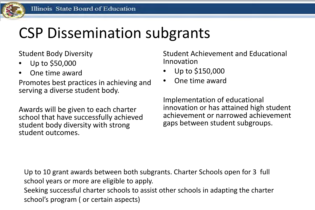## CSP Dissemination subgrants

Student Body Diversity

- Up to \$50,000
- One time award

Promotes best practices in achieving and serving a diverse student body.

Awards will be given to each charter school that have successfully achieved student body diversity with strong student outcomes.

Student Achievement and Educational Innovation

- Up to \$150,000
- One time award

Implementation of educational innovation or has attained high student achievement or narrowed achievement gaps between student subgroups.

Up to 10 grant awards between both subgrants. Charter Schools open for 3 full school years or more are eligible to apply.

Seeking successful charter schools to assist other schools in adapting the charter school's program ( or certain aspects)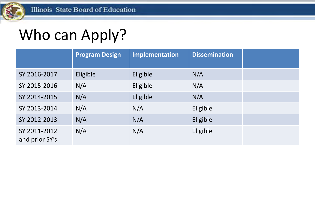## Who can Apply?

|                                | <b>Program Design</b> | Implementation | <b>Dissemination</b> |  |
|--------------------------------|-----------------------|----------------|----------------------|--|
| SY 2016-2017                   | Eligible              | Eligible       | N/A                  |  |
| SY 2015-2016                   | N/A                   | Eligible       | N/A                  |  |
| SY 2014-2015                   | N/A                   | Eligible       | N/A                  |  |
| SY 2013-2014                   | N/A                   | N/A            | Eligible             |  |
| SY 2012-2013                   | N/A                   | N/A            | Eligible             |  |
| SY 2011-2012<br>and prior SY's | N/A                   | N/A            | Eligible             |  |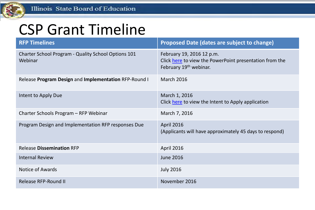

## CSP Grant Timeline

| <b>RFP Timelines</b>                                           | <b>Proposed Date (dates are subject to change)</b>                                                                         |  |
|----------------------------------------------------------------|----------------------------------------------------------------------------------------------------------------------------|--|
| Charter School Program - Quality School Options 101<br>Webinar | February 19, 2016 12 p.m.<br>Click here to view the PowerPoint presentation from the<br>February 19 <sup>th</sup> webinar. |  |
| Release Program Design and Implementation RFP-Round I          | <b>March 2016</b>                                                                                                          |  |
| Intent to Apply Due                                            | March 1, 2016<br>Click here to view the Intent to Apply application                                                        |  |
| Charter Schools Program – RFP Webinar                          | March 7, 2016                                                                                                              |  |
| Program Design and Implementation RFP responses Due            | <b>April 2016</b><br>(Applicants will have approximately 45 days to respond)                                               |  |
| <b>Release Dissemination RFP</b>                               | <b>April 2016</b>                                                                                                          |  |
| <b>Internal Review</b>                                         | <b>June 2016</b>                                                                                                           |  |
| <b>Notice of Awards</b>                                        | <b>July 2016</b>                                                                                                           |  |
| <b>Release RFP-Round II</b>                                    | November 2016                                                                                                              |  |